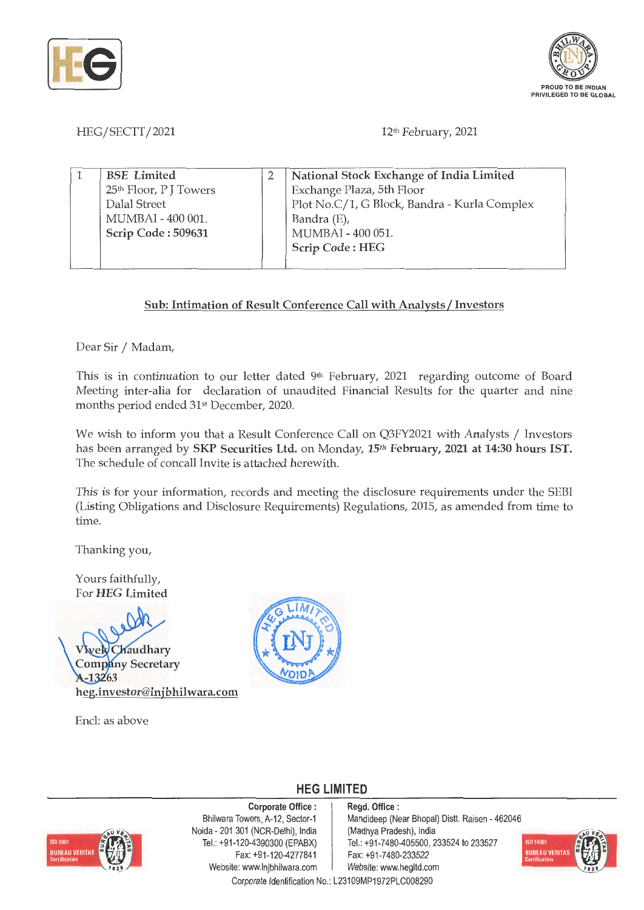



## HEG/SECTT/2021

## 12<sup>th</sup> February, 2021

| <b>BSE</b> Limited                | National Stock Exchange of India Limited     |
|-----------------------------------|----------------------------------------------|
| 25 <sup>th</sup> Floor, PJ Towers | Exchange Plaza, 5th Floor                    |
| Dalal Street                      | Plot No.C/1, G Block, Bandra - Kurla Complex |
| MUMBAI - 400 001.                 | Bandra (E),                                  |
| Scrip Code: 509631                | MUMBAI - 400 051.                            |
|                                   | Scrip Code: HEG                              |
|                                   |                                              |

## **Sub: Intimation of Result Conference Call with Analysts/ Investors**

Dear Sir / Madam,

This is in continuation to our letter dated 9<sup>th</sup> February, 2021 regarding outcome of Board Meeting inter-alia for declaration of unaudited Financial Results for the quarter and nine months period ended 31st December, 2020.

We wish to inform you that a Result Conference Call on Q3FY2021 with Analysts / Investors has been arranged by **SKP Securities Ltd.** on Monday, **15th February, 2021 at 14:30 hours IST.**  The schedule of concall Invite is attached herewith.

This is for your information, records and meeting the disclosure requirements under the SEBI (Listing Obligations and Disclosure Requirements) Regulations, 2015, as amended from time to time.

Thanking you,

Yours faithfully, For **HEG Limited** 

Chaudhary **Company Secretary**  $A - 13263$ **heg.investor@lnjbhilwara.com** 

Encl: as above



**HEG LIMITED** 

# **ISO 9001 BUREAU VERITAS**

**Corporate Office** : Bhilwara Towers, A-12, Sector-1 Naida - 201 301 (NCR-Delhi), India Tel.: +91-120-4390300 (EPABX) Fax:+91 -120-4277841 Website: www.lnjbhilwara.com | Website: www.hegltd.com

**Regd. Office** : Mandideep (Near Bhopal) Distt. Raisen - 462046 (Madhya Pradesh), India Tel.: +91 -7480-405500, 233524 to 233527 Fax: +91 -7480-233522